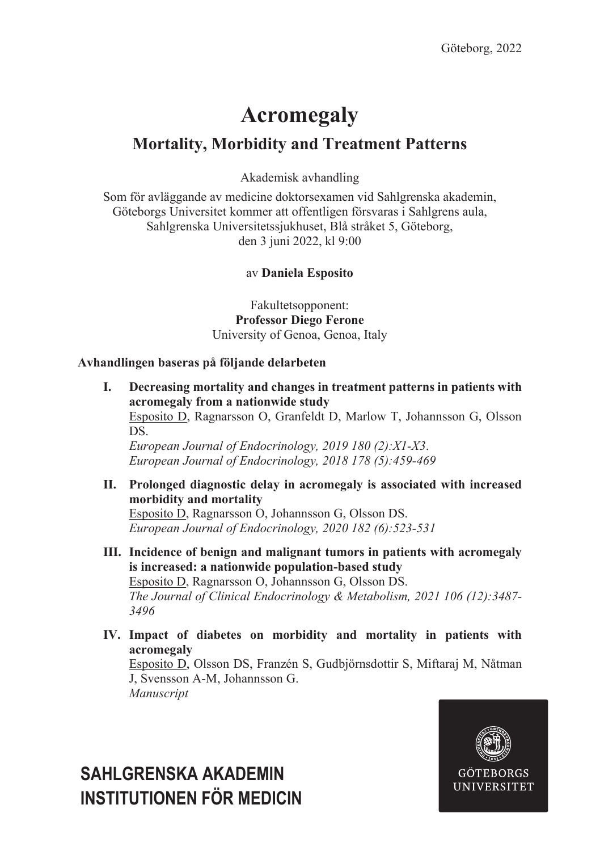# **Acromegaly**

### **Mortality, Morbidity and Treatment Patterns**

Akademisk avhandling

Som för avläggande av medicine doktorsexamen vid Sahlgrenska akademin, Göteborgs Universitet kommer att offentligen försvaras i Sahlgrens aula, Sahlgrenska Universitetssjukhuset, Blå stråket 5, Göteborg, den 3 juni 2022, kl 9:00

### av **Daniela Esposito**

Fakultetsopponent: **Professor Diego Ferone** University of Genoa, Genoa, Italy

#### **Avhandlingen baseras på följande delarbeten**

- **I. Decreasing mortality and changes in treatment patterns in patients with acromegaly from a nationwide study** Esposito D, Ragnarsson O, Granfeldt D, Marlow T, Johannsson G, Olsson DS. *European Journal of Endocrinology, 2019 180 (2):X1-X3*. *European Journal of Endocrinology, 2018 178 (5):459-469*
- **II. Prolonged diagnostic delay in acromegaly is associated with increased morbidity and mortality** Esposito D, Ragnarsson O, Johannsson G, Olsson DS. *European Journal of Endocrinology, 2020 182 (6):523-531*
- **III. Incidence of benign and malignant tumors in patients with acromegaly is increased: a nationwide population-based study** Esposito D, Ragnarsson O, Johannsson G, Olsson DS. *The Journal of Clinical Endocrinology & Metabolism, 2021 106 (12):3487- 3496*
- **IV. Impact of diabetes on morbidity and mortality in patients with acromegaly** Esposito D, Olsson DS, Franzén S, Gudbjörnsdottir S, Miftaraj M, Nåtman J, Svensson A-M, Johannsson G. *Manuscript*



## **SAHLGRENSKA AKADEMIN INSTITUTIONEN FÖR MEDICIN**